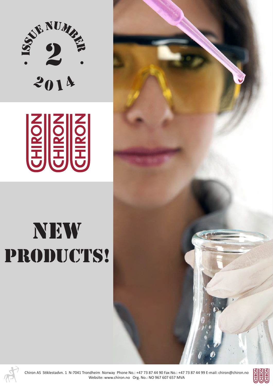



## new PRODUCTS!





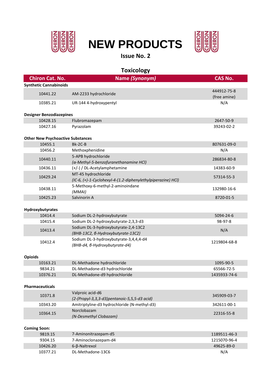

## **NEW PRODUCTS**



**Issue No. 2**

| Name (Synonym)<br><b>Chiron Cat. No.</b><br><b>CAS No.</b><br><b>Synthetic Cannabinoids</b><br>444912-75-8<br>10441.22<br>AM-2233 hydrochloride<br>(free amine)<br>N/A<br>UR-144 4-hydroxypentyl<br>10385.21<br><b>Designer Benzodiazepines</b><br>10428.15<br>Flubromazepam<br>2647-50-9<br>Pyrazolam<br>10427.16<br>39243-02-2 |
|----------------------------------------------------------------------------------------------------------------------------------------------------------------------------------------------------------------------------------------------------------------------------------------------------------------------------------|
|                                                                                                                                                                                                                                                                                                                                  |
|                                                                                                                                                                                                                                                                                                                                  |
|                                                                                                                                                                                                                                                                                                                                  |
|                                                                                                                                                                                                                                                                                                                                  |
|                                                                                                                                                                                                                                                                                                                                  |
|                                                                                                                                                                                                                                                                                                                                  |
|                                                                                                                                                                                                                                                                                                                                  |
| <b>Other New Psychoactive Substances</b>                                                                                                                                                                                                                                                                                         |
| 10455.1<br>Bk-2C-B<br>807631-09-0                                                                                                                                                                                                                                                                                                |
| Methoxphenidine<br>10456.2<br>N/A                                                                                                                                                                                                                                                                                                |
| 5-APB hydrochloride<br>10440.11<br>286834-80-8                                                                                                                                                                                                                                                                                   |
| (α-Methyl-5-benzofuranethanamine HCl)                                                                                                                                                                                                                                                                                            |
| 10436.11<br>(+/-) / DL-Acetylamphetamine<br>14383-60-9                                                                                                                                                                                                                                                                           |
| MT-45 hydrochloride<br>10429.24<br>57314-55-3                                                                                                                                                                                                                                                                                    |
| (IC-6, (+)-1-Cyclohexyl-4-(1.2-diphenylethylpiperazine) HCl)                                                                                                                                                                                                                                                                     |
| 5-Methoxy-6-methyl-2-aminoindane<br>10438.11<br>132980-16-6<br>(MMAI)                                                                                                                                                                                                                                                            |
| 10425.23<br>Salvinorin A<br>8720-01-5                                                                                                                                                                                                                                                                                            |
| Hydroxybutyrates                                                                                                                                                                                                                                                                                                                 |
| 10414.4<br>Sodium DL-2-hydroxybutyrate<br>5094-24-6                                                                                                                                                                                                                                                                              |
| 10415.4<br>Sodium DL-2-hydroxybutyrate-2,3,3-d3<br>98-97-8                                                                                                                                                                                                                                                                       |
| Sodium DL-3-hydroxybutyrate-2,4-13C2                                                                                                                                                                                                                                                                                             |
| N/A<br>10413.4<br>(BHB-13C2, 6-Hydroxybutyrate-13C2)                                                                                                                                                                                                                                                                             |
| Sodium DL-3-hydroxybutyrate-3,4,4,4-d4                                                                                                                                                                                                                                                                                           |
| 10412.4<br>1219804-68-8<br>(BHB-d4, 6-Hydroxybutyrate-d4)                                                                                                                                                                                                                                                                        |
| <b>Opioids</b>                                                                                                                                                                                                                                                                                                                   |
| 10163.21<br>DL-Methadone hydrochloride<br>1095-90-5                                                                                                                                                                                                                                                                              |
| DL-Methadone-d3 hydrochloride<br>9834.21<br>65566-72-5                                                                                                                                                                                                                                                                           |
| 10376.21<br>DL-Methadone-d9 hydrochloride<br>1435933-74-6                                                                                                                                                                                                                                                                        |
| <b>Pharmaceuticals</b>                                                                                                                                                                                                                                                                                                           |
| Valproic acid-d6                                                                                                                                                                                                                                                                                                                 |
| 10371.8<br>345909-03-7<br>(2-(Propyl-3,3,3-d3)pentanoic-5,5,5-d3 acid)                                                                                                                                                                                                                                                           |
| 10343.20<br>Amitriptyline-d3 hydrochloride (N-methyl-d3)<br>342611-00-1                                                                                                                                                                                                                                                          |
| Norclobazam<br>10364.15<br>22316-55-8<br>(N-Desmethyl Clobazam)                                                                                                                                                                                                                                                                  |
| <b>Coming Soon:</b>                                                                                                                                                                                                                                                                                                              |
| 9819.15<br>7-Aminonitrazepam-d5<br>1189511-46-3                                                                                                                                                                                                                                                                                  |
| 7-Aminoclonazepam-d4<br>9304.15<br>1215070-96-4                                                                                                                                                                                                                                                                                  |
| 10426.20<br>6-β-Naltrexol<br>49625-89-0                                                                                                                                                                                                                                                                                          |
| DL-Methadone-13C6<br>10377.21<br>N/A                                                                                                                                                                                                                                                                                             |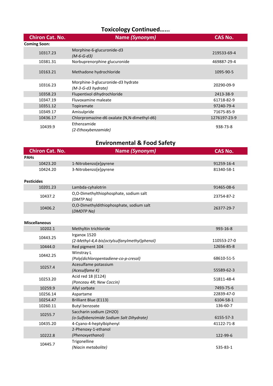## **Toxicology Continued…...**

| <b>Chiron Cat. No.</b> | Name (Synonym)                                            | <b>CAS No.</b> |
|------------------------|-----------------------------------------------------------|----------------|
| <b>Coming Soon:</b>    |                                                           |                |
| 10317.23               | Morphine-6-glucuronide-d3<br>$(M-6-G-d3)$                 | 219533-69-4    |
| 10381.31               | Norbuprenorphine glucuronide                              | 469887-29-4    |
| 10163.21               | Methadone hydrochloride                                   | 1095-90-5      |
| 10316.23               | Morphine-3-glucuronide-d3 hydrate<br>$(M-3-G-d3 hydrate)$ | 20290-09-9     |
| 10358.23               | Flupentixol dihydrochloride                               | 2413-38-9      |
| 10347.19               | Fluvoxamine maleate                                       | 61718-82-9     |
| 10351.12               | Topiramate                                                | 97240-79-4     |
| 10349.17               | Amisulpride                                               | 71675-85-9     |
| 10436.17               | Chlorpromazine-d6 oxalate (N,N-dimethyl-d6)               | 1276197-23-9   |
| 10439.9                | Ethenzamide<br>(2-Ethoxybenzamide)                        | 938-73-8       |

## **Environmental & Food Safety**

| <b>Chiron Cat. No.</b> | Name (Synonym)                                         | <b>CAS No.</b>          |
|------------------------|--------------------------------------------------------|-------------------------|
| <b>PAHs</b>            |                                                        |                         |
| 10423.20               | 1-Nitrobenzo[e]pyrene                                  | 91259-16-4              |
| 10424.20               | 3-Nitrobenzo[e]pyrene                                  | 81340-58-1              |
|                        |                                                        |                         |
| <b>Pesticides</b>      |                                                        |                         |
| 10201.23               | Lambda-cyhalotrin                                      | 91465-08-6              |
| 10437.2                | O,O-Dimethylthiophosphate, sodium salt<br>(DMTP Na)    | 23754-87-2              |
| 10406.2                | O,O-Dimethyldithiophosphate, sodium salt<br>(DMDTP Na) | 26377-29-7              |
| <b>Miscellaneous</b>   |                                                        |                         |
| 10202.1                | Methyltin trichloride                                  | 993-16-8                |
| 10443.25               | Irganox 1520                                           |                         |
|                        | (2-Methyl-4,4-bis(octylsulfanylmethyl)phenol)          | 110553-27-0             |
| 10444.0                | Red pigment 104                                        | 12656-85-8              |
| 10442.25               | Winstray L                                             |                         |
|                        | (Poly(dichloropentadiene-co-p-cresol)                  | 68610-51-5              |
| 10257.4                | Acesulfame potassium                                   |                         |
|                        | (Acesulfame K)                                         | 55589-62-3              |
| 10253.20               | Acid red 18 (E124)                                     | 51811-48-4              |
|                        | (Ponceau 4R; New Coccin)                               |                         |
| 10259.9                | Allyl sorbate                                          | 7493-75-6               |
| 10256.14               | Aspartame                                              | 22839-47-0              |
| 10254.47               | Brilliant Blue (E113)                                  | 6104-58-1               |
| 10260.11               | <b>Butyl benzoate</b>                                  | 136-60-7                |
| 10255.7                | Saccharin sodium (2H2O)                                |                         |
| 10435.20               | (o-Sulfobenzimide Sodium Salt Dihydrate)               | 6155-57-3<br>41122-71-8 |
|                        | 4-Cyano-4-heptylbiphenyl<br>2-Phenoxy-1-ethanol        |                         |
| 10222.8                | (Phenoxyethanol)                                       | 122-99-6                |
|                        | Trigonelline                                           |                         |
| 10445.7                | (Niacin metabolite)                                    | 535-83-1                |